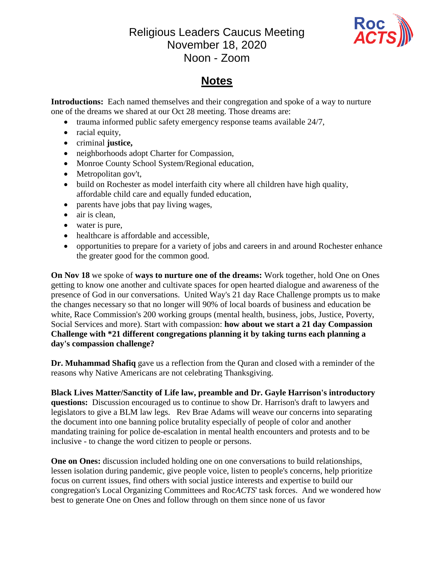## Religious Leaders Caucus Meeting November 18, 2020 Noon - Zoom



## **Notes**

**Introductions:** Each named themselves and their congregation and spoke of a way to nurture one of the dreams we shared at our Oct 28 meeting. Those dreams are:

- $\bullet$  trauma informed public safety emergency response teams available 24/7,
- racial equity,
- criminal **justice,**
- neighborhoods adopt Charter for Compassion,
- Monroe County School System/Regional education,
- Metropolitan gov't,
- build on Rochester as model interfaith city where all children have high quality, affordable child care and equally funded education,
- parents have jobs that pay living wages,
- air is clean,
- water is pure,
- healthcare is affordable and accessible,
- opportunities to prepare for a variety of jobs and careers in and around Rochester enhance the greater good for the common good.

**On Nov 18** we spoke of **ways to nurture one of the dreams:** Work together, hold One on Ones getting to know one another and cultivate spaces for open hearted dialogue and awareness of the presence of God in our conversations. United Way's 21 day Race Challenge prompts us to make the changes necessary so that no longer will 90% of local boards of business and education be white, Race Commission's 200 working groups (mental health, business, jobs, Justice, Poverty, Social Services and more). Start with compassion: **how about we start a 21 day Compassion Challenge with \*21 different congregations planning it by taking turns each planning a day's compassion challenge?**

**Dr. Muhammad Shafiq** gave us a reflection from the Quran and closed with a reminder of the reasons why Native Americans are not celebrating Thanksgiving.

**Black Lives Matter/Sanctity of Life law, preamble and Dr. Gayle Harrison's introductory questions:** Discussion encouraged us to continue to show Dr. Harrison's draft to lawyers and legislators to give a BLM law legs. Rev Brae Adams will weave our concerns into separating the document into one banning police brutality especially of people of color and another mandating training for police de-escalation in mental health encounters and protests and to be inclusive - to change the word citizen to people or persons.

**One on Ones:** discussion included holding one on one conversations to build relationships, lessen isolation during pandemic, give people voice, listen to people's concerns, help prioritize focus on current issues, find others with social justice interests and expertise to build our congregation's Local Organizing Committees and Roc*ACTS*' task forces. And we wondered how best to generate One on Ones and follow through on them since none of us favor